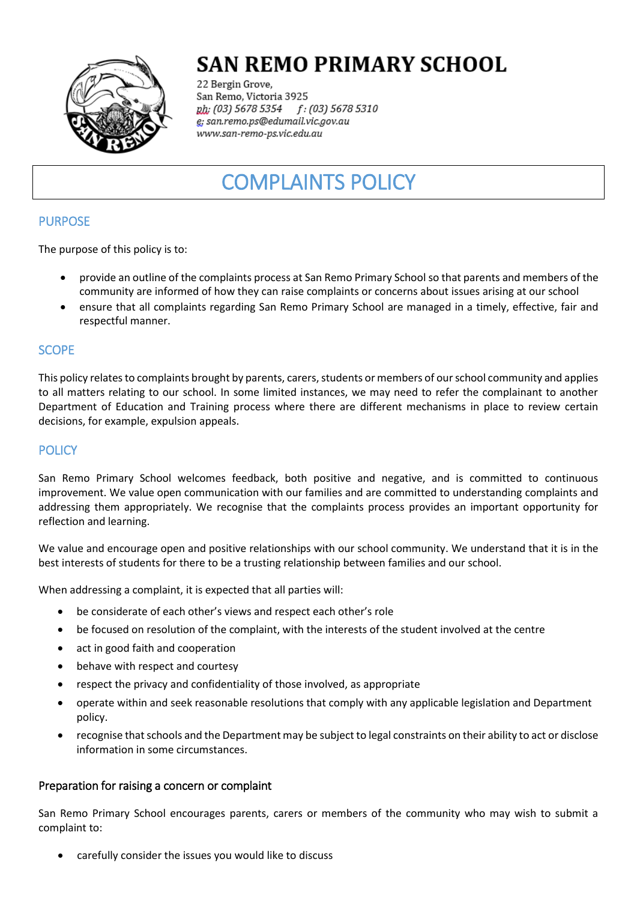

# **SAN REMO PRIMARY SCHOOL**

22 Bergin Grove, San Remo, Victoria 3925 f: (03) 5678 5310 ph; (03) 5678 5354 g; san.remo.ps@edumail.vic.gov.au www.san-remo-ps.vic.edu.au

## COMPLAINTS POLICY

## PURPOSE

The purpose of this policy is to:

- provide an outline of the complaints process at San Remo Primary School so that parents and members of the community are informed of how they can raise complaints or concerns about issues arising at our school
- ensure that all complaints regarding San Remo Primary School are managed in a timely, effective, fair and respectful manner.

### **SCOPE**

This policy relates to complaints brought by parents, carers, students or members of our school community and applies to all matters relating to our school. In some limited instances, we may need to refer the complainant to another Department of Education and Training process where there are different mechanisms in place to review certain decisions, for example, expulsion appeals.

## **POLICY**

San Remo Primary School welcomes feedback, both positive and negative, and is committed to continuous improvement. We value open communication with our families and are committed to understanding complaints and addressing them appropriately. We recognise that the complaints process provides an important opportunity for reflection and learning.

We value and encourage open and positive relationships with our school community. We understand that it is in the best interests of students for there to be a trusting relationship between families and our school.

When addressing a complaint, it is expected that all parties will:

- be considerate of each other's views and respect each other's role
- be focused on resolution of the complaint, with the interests of the student involved at the centre
- act in good faith and cooperation
- behave with respect and courtesy
- respect the privacy and confidentiality of those involved, as appropriate
- operate within and seek reasonable resolutions that comply with any applicable legislation and Department policy.
- recognise that schools and the Department may be subject to legal constraints on their ability to act or disclose information in some circumstances.

#### Preparation for raising a concern or complaint

San Remo Primary School encourages parents, carers or members of the community who may wish to submit a complaint to:

carefully consider the issues you would like to discuss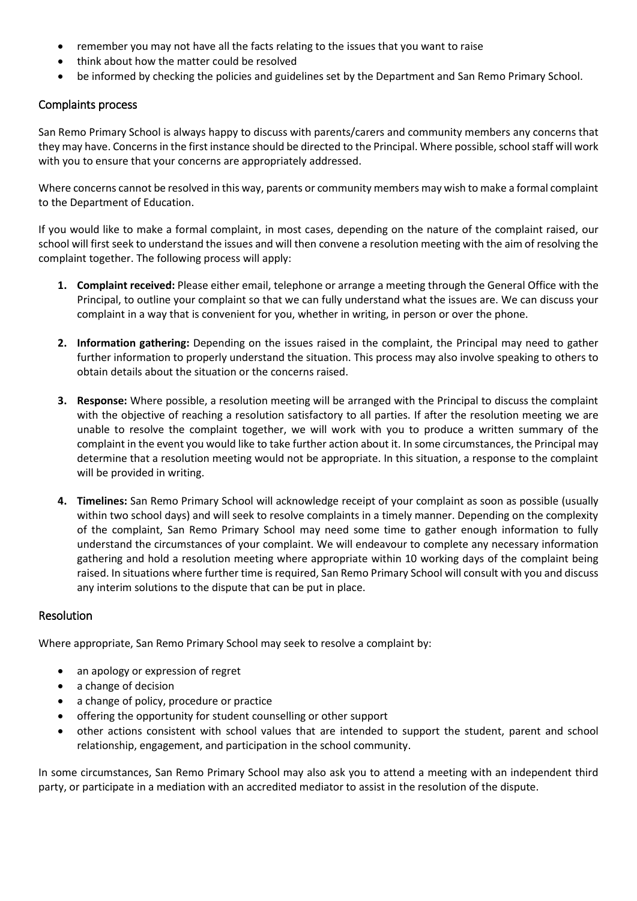- remember you may not have all the facts relating to the issues that you want to raise
- think about how the matter could be resolved
- be informed by checking the policies and guidelines set by the Department and San Remo Primary School.

#### Complaints process

San Remo Primary School is always happy to discuss with parents/carers and community members any concerns that they may have. Concerns in the first instance should be directed to the Principal. Where possible, school staff will work with you to ensure that your concerns are appropriately addressed.

Where concerns cannot be resolved in this way, parents or community members may wish to make a formal complaint to the Department of Education.

If you would like to make a formal complaint, in most cases, depending on the nature of the complaint raised, our school will first seek to understand the issues and will then convene a resolution meeting with the aim of resolving the complaint together. The following process will apply:

- **1. Complaint received:** Please either email, telephone or arrange a meeting through the General Office with the Principal, to outline your complaint so that we can fully understand what the issues are. We can discuss your complaint in a way that is convenient for you, whether in writing, in person or over the phone.
- **2. Information gathering:** Depending on the issues raised in the complaint, the Principal may need to gather further information to properly understand the situation. This process may also involve speaking to others to obtain details about the situation or the concerns raised.
- **3. Response:** Where possible, a resolution meeting will be arranged with the Principal to discuss the complaint with the objective of reaching a resolution satisfactory to all parties. If after the resolution meeting we are unable to resolve the complaint together, we will work with you to produce a written summary of the complaint in the event you would like to take further action about it. In some circumstances, the Principal may determine that a resolution meeting would not be appropriate. In this situation, a response to the complaint will be provided in writing.
- **4. Timelines:** San Remo Primary School will acknowledge receipt of your complaint as soon as possible (usually within two school days) and will seek to resolve complaints in a timely manner. Depending on the complexity of the complaint, San Remo Primary School may need some time to gather enough information to fully understand the circumstances of your complaint. We will endeavour to complete any necessary information gathering and hold a resolution meeting where appropriate within 10 working days of the complaint being raised. In situations where further time is required, San Remo Primary School will consult with you and discuss any interim solutions to the dispute that can be put in place.

#### Resolution

Where appropriate, San Remo Primary School may seek to resolve a complaint by:

- an apology or expression of regret
- a change of decision
- a change of policy, procedure or practice
- offering the opportunity for student counselling or other support
- other actions consistent with school values that are intended to support the student, parent and school relationship, engagement, and participation in the school community.

In some circumstances, San Remo Primary School may also ask you to attend a meeting with an independent third party, or participate in a mediation with an accredited mediator to assist in the resolution of the dispute.